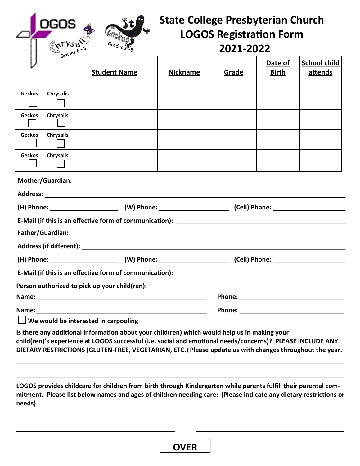| $ry_{5a}$ . | Grades             |
|-------------|--------------------|
|             | $\mathfrak{r}_{5}$ |

## **State College Presbyterian Church LOGOS Registration Form 2021-2022**

|                                                                                                                                                                                                                                      | Grades o         |                     |                 |       |                         |                                |
|--------------------------------------------------------------------------------------------------------------------------------------------------------------------------------------------------------------------------------------|------------------|---------------------|-----------------|-------|-------------------------|--------------------------------|
|                                                                                                                                                                                                                                      |                  | <b>Student Name</b> | <b>Nickname</b> | Grade | Date of<br><b>Birth</b> | <b>School child</b><br>attends |
| <b>Geckos</b>                                                                                                                                                                                                                        | <b>Chrysalis</b> |                     |                 |       |                         |                                |
| <b>Geckos</b>                                                                                                                                                                                                                        | <b>Chrysalis</b> |                     |                 |       |                         |                                |
| Geckos                                                                                                                                                                                                                               | <b>Chrysalis</b> |                     |                 |       |                         |                                |
| <b>Geckos</b>                                                                                                                                                                                                                        | Chrysalis        |                     |                 |       |                         |                                |
|                                                                                                                                                                                                                                      |                  |                     |                 |       |                         |                                |
|                                                                                                                                                                                                                                      |                  |                     |                 |       |                         |                                |
| (H) Phone: ___________________________(W) Phone: __________________________(Cell) Phone: _____________________                                                                                                                       |                  |                     |                 |       |                         |                                |
|                                                                                                                                                                                                                                      |                  |                     |                 |       |                         |                                |
|                                                                                                                                                                                                                                      |                  |                     |                 |       |                         |                                |
|                                                                                                                                                                                                                                      |                  |                     |                 |       |                         |                                |
|                                                                                                                                                                                                                                      |                  |                     |                 |       |                         |                                |
| E-Mail (if this is an effective form of communication): _________________________                                                                                                                                                    |                  |                     |                 |       |                         |                                |
| Person authorized to pick up your child(ren):                                                                                                                                                                                        |                  |                     |                 |       |                         |                                |
| Phone: <u>with the contract of the contract of the contract of the contract of the contract of the contract of the contract of the contract of the contract of the contract of the contract of the contract of the contract of t</u> |                  |                     |                 |       |                         |                                |
|                                                                                                                                                                                                                                      |                  |                     |                 |       |                         |                                |
| $\Box$ We would be interested in carpooling                                                                                                                                                                                          |                  |                     |                 |       |                         |                                |

**Is there any additional information about your child(ren) which would help us in making your child(ren)'s experience at LOGOS successful (i.e. social and emotional needs/concerns)? PLEASE INCLUDE ANY DIETARY RESTRICTIONS (GLUTEN-FREE, VEGETARIAN, ETC.) Please update us with changes throughout the year.**

**LOGOS provides childcare for children from birth through Kindergarten while parents fulfill their parental commitment. Please list below names and ages of children needing care: (Please indicate any dietary restrictions or needs)**

**OVER**